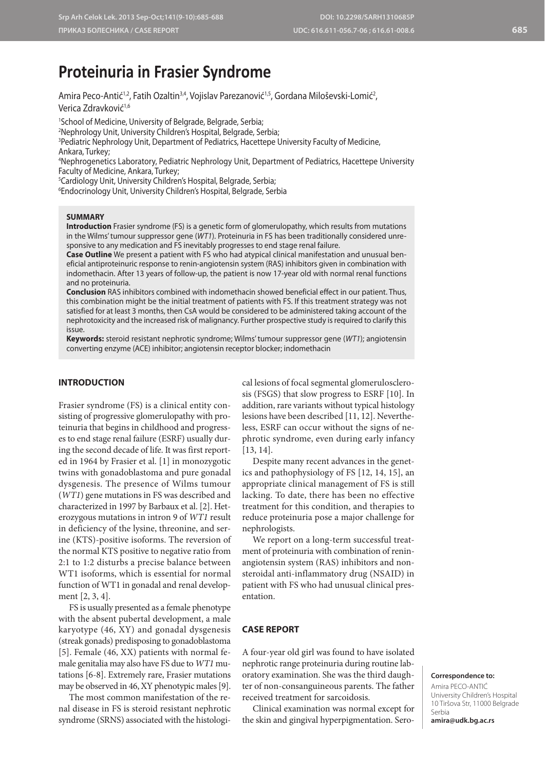# **Proteinuria in Frasier Syndrome**

Amira Peco-Antić<sup>1,2</sup>, Fatih Ozaltin<sup>3,4</sup>, Vojislav Parezanović<sup>1,5</sup>, Gordana Miloševski-Lomić<sup>2</sup>, Verica Zdravković<sup>1,6</sup>

1 School of Medicine, University of Belgrade, Belgrade, Serbia;

2 Nephrology Unit, University Children's Hospital, Belgrade, Serbia;

3 Pediatric Nephrology Unit, Department of Pediatrics, Hacettepe University Faculty of Medicine, Ankara, Turkey;

4 Nephrogenetics Laboratory, Pediatric Nephrology Unit, Department of Pediatrics, Hacettepe University Faculty of Medicine, Ankara, Turkey;

5 Cardiology Unit, University Children's Hospital, Belgrade, Serbia;

6 Endocrinology Unit, University Children's Hospital, Belgrade, Serbia

# **SUMMARY**

**Introduction** Frasier syndrome (FS) is a genetic form of glomerulopathy, which results from mutations in the Wilms' tumour suppressor gene (*WT1*). Proteinuria in FS has been traditionally considered unresponsive to any medication and FS inevitably progresses to end stage renal failure.

**Case Outline** We present a patient with FS who had atypical clinical manifestation and unusual beneficial antiproteinuric response to renin-angiotensin system (RAS) inhibitors given in combination with indomethacin. After 13 years of follow-up, the patient is now 17-year old with normal renal functions and no proteinuria.

**Conclusion** RAS inhibitors combined with indomethacin showed beneficial effect in our patient. Thus, this combination might be the initial treatment of patients with FS. If this treatment strategy was not satisfied for at least 3 months, then CsA would be considered to be administered taking account of the nephrotoxicity and the increased risk of malignancy. Further prospective study is required to clarify this issue.

**Keywords:** steroid resistant nephrotic syndrome; Wilms' tumour suppressor gene (*WT1*); angiotensin converting enzyme (ACE) inhibitor; angiotensin receptor blocker; indomethacin

# **INTRODUCTION**

Frasier syndrome (FS) is a clinical entity consisting of progressive glomerulopathy with proteinuria that begins in childhood and progresses to end stage renal failure (ESRF) usually during the second decade of life. It was first reported in 1964 by Frasier et al. [1] in monozygotic twins with gonadoblastoma and pure gonadal dysgenesis. The presence of Wilms tumour (*WT1*) gene mutations in FS was described and characterized in 1997 by Barbaux et al. [2]. Heterozygous mutations in intron 9 of *WT1* result in deficiency of the lysine, threonine, and serine (KTS)-positive isoforms. The reversion of the normal KTS positive to negative ratio from 2:1 to 1:2 disturbs a precise balance between WT1 isoforms, which is essential for normal function of WT1 in gonadal and renal development [2, 3, 4].

FS is usually presented as a female phenotype with the absent pubertal development, a male karyotype (46, XY) and gonadal dysgenesis (streak gonads) predisposing to gonadoblastoma [5]. Female (46, XX) patients with normal female genitalia may also have FS due to *WT1* mutations [6-8]. Extremely rare, Frasier mutations may be observed in 46, XY phenotypic males [9].

The most common manifestation of the renal disease in FS is steroid resistant nephrotic syndrome (SRNS) associated with the histologi-

cal lesions of focal segmental glomerulosclerosis (FSGS) that slow progress to ESRF [10]. In addition, rare variants without typical histology lesions have been described [11, 12]. Nevertheless, ESRF can occur without the signs of nephrotic syndrome, even during early infancy [13, 14].

Despite many recent advances in the genetics and pathophysiology of FS [12, 14, 15], an appropriate clinical management of FS is still lacking. To date, there has been no effective treatment for this condition, and therapies to reduce proteinuria pose a major challenge for nephrologists.

We report on a long-term successful treatment of proteinuria with combination of reninangiotensin system (RAS) inhibitors and nonsteroidal anti-inflammatory drug (NSAID) in patient with FS who had unusual clinical presentation.

#### **CASE REPORT**

A four-year old girl was found to have isolated nephrotic range proteinuria during routine laboratory examination. She was the third daughter of non-consanguineous parents. The father received treatment for sarcoidosis.

Clinical examination was normal except for the skin and gingival hyperpigmentation. Sero-

## **Correspondence to:**

Amira PECO-ANTIĆ University Children's Hospital 10 Tiršova Str, 11000 Belgrade Serbia

**amira@udk.bg.ac.rs**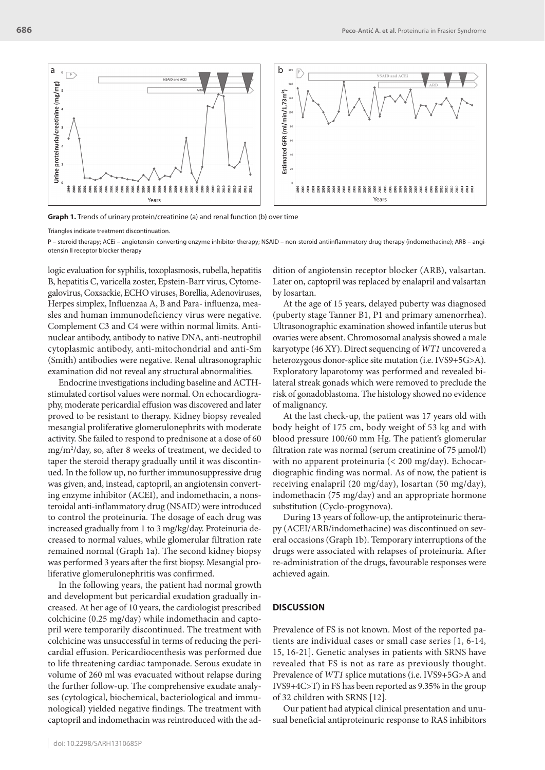

**Graph 1.** Trends of urinary protein/creatinine (a) and renal function (b) over time

Triangles indicate treatment discontinuation.

P – steroid therapy; ACEi – angiotensin-converting enzyme inhibitor therapy; NSAID – non-steroid antiinflammatory drug therapy (indomethacine); ARB – angiotensin II receptor blocker therapy

logic evaluation for syphilis, toxoplasmosis, rubella, hepatitis B, hepatitis C, varicella zoster, Epstein-Barr virus, Cytomegalovirus, Coxsackie, ECHO viruses, Borellia, Adenoviruses, Herpes simplex, Influenzaa A, B and Para- influenza, measles and human immunodeficiency virus were negative. Complement C3 and C4 were within normal limits. Antinuclear antibody, antibody to native DNA, anti-neutrophil cytoplasmic antibody, anti-mitochondrial and anti-Sm (Smith) antibodies were negative. Renal ultrasonographic examination did not reveal any structural abnormalities.

Endocrine investigations including baseline and ACTHstimulated cortisol values were normal. On echocardiography, moderate pericardial effusion was discovered and later proved to be resistant to therapy. Kidney biopsy revealed mesangial proliferative glomerulonephrits with moderate activity. She failed to respond to prednisone at a dose of 60 mg/m2 /day, so, after 8 weeks of treatment, we decided to taper the steroid therapy gradually until it was discontinued. In the follow up, no further immunosuppressive drug was given, and, instead, captopril, an angiotensin converting enzyme inhibitor (ACEI), and indomethacin, a nonsteroidal anti-inflammatory drug (NSAID) were introduced to control the proteinuria. The dosage of each drug was increased gradually from 1 to 3 mg/kg/day. Proteinuria decreased to normal values, while glomerular filtration rate remained normal (Graph 1a). The second kidney biopsy was performed 3 years after the first biopsy. Mesangial proliferative glomerulonephritis was confirmed.

In the following years, the patient had normal growth and development but pericardial exudation gradually increased. At her age of 10 years, the cardiologist prescribed colchicine (0.25 mg/day) while indomethacin and captopril were temporarily discontinued. The treatment with colchicine was unsuccessful in terms of reducing the pericardial effusion. Pericardiocenthesis was performed due to life threatening cardiac tamponade. Serous exudate in volume of 260 ml was evacuated without relapse during the further follow-up. The comprehensive exudate analyses (cytological, biochemical, bacteriological and immunological) yielded negative findings. The treatment with captopril and indomethacin was reintroduced with the addition of angiotensin receptor blocker (ARB), valsartan. Later on, captopril was replaced by enalapril and valsartan by losartan.

At the age of 15 years, delayed puberty was diagnosed (puberty stage Tanner B1, P1 and primary amenorrhea). Ultrasonographic examination showed infantile uterus but ovaries were absent. Chromosomal analysis showed a male karyotype (46 XY). Direct sequencing of *WT1* uncovered a heterozygous donor-splice site mutation (i.e. IVS9+5G>A). Exploratory laparotomy was performed and revealed bilateral streak gonads which were removed to preclude the risk of gonadoblastoma. The histology showed no evidence of malignancy.

At the last check-up, the patient was 17 years old with body height of 175 cm, body weight of 53 kg and with blood pressure 100/60 mm Hg. The patient's glomerular filtration rate was normal (serum creatinine of 75 μmol/l) with no apparent proteinuria (< 200 mg/day). Echocardiographic finding was normal. As of now, the patient is receiving enalapril (20 mg/day), losartan (50 mg/day), indomethacin (75 mg/day) and an appropriate hormone substitution (Cyclo-progynova).

During 13 years of follow-up, the antiproteinuric therapy (ACEI/ARB/indomethacine) was discontinued on several occasions (Graph 1b). Temporary interruptions of the drugs were associated with relapses of proteinuria. After re-administration of the drugs, favourable responses were achieved again.

# **DISCUSSION**

Prevalence of FS is not known. Most of the reported patients are individual cases or small case series [1, 6-14, 15, 16-21]. Genetic analyses in patients with SRNS have revealed that FS is not as rare as previously thought. Prevalence of *WT1* splice mutations (i.e. IVS9+5G>A and IVS9+4C>T) in FS has been reported as 9.35% in the group of 32 children with SRNS [12].

Our patient had atypical clinical presentation and unusual beneficial antiproteinuric response to RAS inhibitors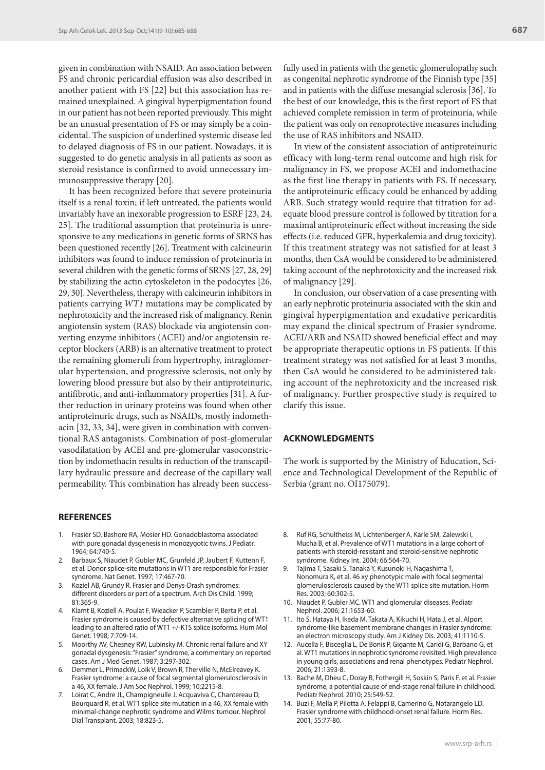given in combination with NSAID. An association between FS and chronic pericardial effusion was also described in another patient with FS [22] but this association has remained unexplained. A gingival hyperpigmentation found in our patient has not been reported previously. This might be an unusual presentation of FS or may simply be a coincidental. The suspicion of underlined systemic disease led to delayed diagnosis of FS in our patient. Nowadays, it is suggested to do genetic analysis in all patients as soon as steroid resistance is confirmed to avoid unnecessary immunosuppressive therapy [20].

It has been recognized before that severe proteinuria itself is a renal toxin; if left untreated, the patients would invariably have an inexorable progression to ESRF [23, 24, 25]. The traditional assumption that proteinuria is unresponsive to any medications in genetic forms of SRNS has been questioned recently [26]. Treatment with calcineurin inhibitors was found to induce remission of proteinuria in several children with the genetic forms of SRNS [27, 28, 29] by stabilizing the actin cytoskeleton in the podocytes [26, 29, 30]. Nevertheless, therapy with calcineurin inhibitors in patients carrying *WT1* mutations may be complicated by nephrotoxicity and the increased risk of malignancy. Renin angiotensin system (RAS) blockade via angiotensin converting enzyme inhibitors (ACEI) and/or angiotensin receptor blockers (ARB) is an alternative treatment to protect the remaining glomeruli from hypertrophy, intraglomerular hypertension, and progressive sclerosis, not only by lowering blood pressure but also by their antiproteinuric, antifibrotic, and anti-inflammatory properties [31]. A further reduction in urinary proteins was found when other antiproteinuric drugs, such as NSAIDs, mostly indomethacin [32, 33, 34], were given in combination with conventional RAS antagonists. Combination of post-glomerular vasodilatation by ACEI and pre-glomerular vasoconstriction by indomethacin results in reduction of the transcapillary hydraulic pressure and decrease of the capillary wall permeability. This combination has already been success-

#### **REFERENCES**

- 1. Frasier SD, Bashore RA, Mosier HD. Gonadoblastoma associated with pure gonadal dysgenesis in monozygotic twins. J Pediatr. 1964; 64:740-5.
- 2. Barbaux S, Niaudet P, Gubler MC, Grunfeld JP, Jaubert F, Kuttenn F, et al. Donor splice-site mutations in WT1 are responsible for Frasier syndrome. Nat Genet. 1997; 17:467-70.
- 3. Koziel AB, Grundy R. Frasier and Denys-Drash syndromes: different disorders or part of a spectrum. Arch Dis Child. 1999; 81:365-9.
- 4. Klamt B, Koziell A, Poulat F, Wieacker P, Scambler P, Berta P, et al. Frasier syndrome is caused by defective alternative splicing of WT1 leading to an altered ratio of WT1 +/-KTS splice isoforms. Hum Mol Genet. 1998; 7:709-14.
- 5. Moorthy AV, Chesney RW, Lubinsky M. Chronic renal failure and XY gonadal dysgenesis: "Frasier" syndrome, a commentary on reported cases. Am J Med Genet. 1987; 3:297-302.
- 6. Demmer L, PrimackW, Loik V, Brown R, Therville N, McElreavey K. Frasier syndrome: a cause of focal segmental glomerulosclerosis in a 46, XX female. J Am Soc Nephrol. 1999; 10:2215-8.
- Loirat C, Andre JL, Champigneulle J, Acquaviva C, Chantereau D, Bourquard R, et al. WT1 splice site mutation in a 46, XX female with minimal-change nephrotic syndrome and Wilms' tumour. Nephrol Dial Transplant. 2003; 18:823-5.

fully used in patients with the genetic glomerulopathy such as congenital nephrotic syndrome of the Finnish type [35] and in patients with the diffuse mesangial sclerosis [36]. To the best of our knowledge, this is the first report of FS that achieved complete remission in term of proteinuria, while the patient was only on renoprotective measures including the use of RAS inhibitors and NSAID.

In view of the consistent association of antiproteinuric efficacy with long-term renal outcome and high risk for malignancy in FS, we propose ACEI and indomethacine as the first line therapy in patients with FS. If necessary, the antiproteinuric efficacy could be enhanced by adding ARB. Such strategy would require that titration for adequate blood pressure control is followed by titration for a maximal antiproteinuric effect without increasing the side effects (i.e. reduced GFR, hyperkalemia and drug toxicity). If this treatment strategy was not satisfied for at least 3 months, then CsA would be considered to be administered taking account of the nephrotoxicity and the increased risk of malignancy [29].

In conclusion, our observation of a case presenting with an early nephrotic proteinuria associated with the skin and gingival hyperpigmentation and exudative pericarditis may expand the clinical spectrum of Frasier syndrome. ACEI/ARB and NSAID showed beneficial effect and may be appropriate therapeutic options in FS patients. If this treatment strategy was not satisfied for at least 3 months, then CsA would be considered to be administered taking account of the nephrotoxicity and the increased risk of malignancy. Further prospective study is required to clarify this issue.

## **ACKNOWLEDGMENTS**

The work is supported by the Ministry of Education, Science and Technological Development of the Republic of Serbia (grant no. OI175079).

- 8. Ruf RG, Schultheiss M, Lichtenberger A, Karle SM, Zalewski I, Mucha B, et al. Prevalence of WT1 mutations in a large cohort of patients with steroid-resistant and steroid-sensitive nephrotic syndrome. Kidney Int. 2004; 66:564-70.
- 9. Tajima T, Sasaki S, Tanaka Y, Kusunoki H, Nagashima T, Nonomura K, et al. 46 xy phenotypic male with focal segmental glomerulosclerosis caused by the WT1 splice site mutation. Horm Res. 2003; 60:302-5.
- 10. Niaudet P, Gubler MC. WT1 and glomerular diseases. Pediatr Nephrol. 2006; 21:1653-60.
- 11. Ito S, Hataya H, Ikeda M, Takata A, Kikuchi H, Hata J, et al. Alport syndrome-like basement membrane changes in Frasier syndrome: an electron microscopy study. Am J Kidney Dis. 2003; 41:1110-5.
- 12. Aucella F, Bisceglia L, De Bonis P, Gigante M, Caridi G, Barbano G, et al. WT1 mutations in nephrotic syndrome revisited. High prevalence in young girls, associations and renal phenotypes. Pediatr Nephrol. 2006; 21:1393-8.
- 13. Bache M, Dheu C, Doray B, Fothergill H, Soskin S, Paris F, et al. Frasier syndrome, a potential cause of end-stage renal failure in childhood. Pediatr Nephrol. 2010; 25:549-52.
- 14. Buzi F, Mella P, Pilotta A, Felappi B, Camerino G, Notarangelo LD. Frasier syndrome with childhood-onset renal failure. Horm Res. 2001; 55:77-80.